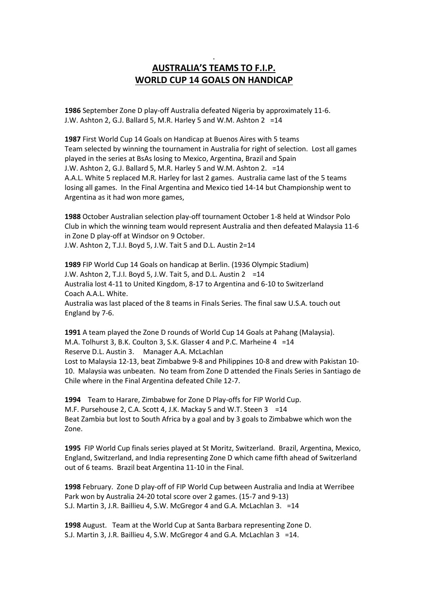## **AUSTRALIA'S TEAMS TO F.I.P. WORLD CUP 14 GOALS ON HANDICAP**

.

**1986** September Zone D play-off Australia defeated Nigeria by approximately 11-6. J.W. Ashton 2, G.J. Ballard 5, M.R. Harley 5 and W.M. Ashton 2 =14

**1987** First World Cup 14 Goals on Handicap at Buenos Aires with 5 teams Team selected by winning the tournament in Australia for right of selection. Lost all games played in the series at BsAs losing to Mexico, Argentina, Brazil and Spain J.W. Ashton 2, G.J. Ballard 5, M.R. Harley 5 and W.M. Ashton 2. =14 A.A.L. White 5 replaced M.R. Harley for last 2 games. Australia came last of the 5 teams losing all games. In the Final Argentina and Mexico tied 14-14 but Championship went to Argentina as it had won more games,

**1988** October Australian selection play-off tournament October 1-8 held at Windsor Polo Club in which the winning team would represent Australia and then defeated Malaysia 11-6 in Zone D play-off at Windsor on 9 October.

J.W. Ashton 2, T.J.I. Boyd 5, J.W. Tait 5 and D.L. Austin 2=14

**1989** FIP World Cup 14 Goals on handicap at Berlin. (1936 Olympic Stadium) J.W. Ashton 2, T.J.I. Boyd 5, J.W. Tait 5, and D.L. Austin  $2 = 14$ Australia lost 4-11 to United Kingdom, 8-17 to Argentina and 6-10 to Switzerland Coach A.A.L. White. Australia was last placed of the 8 teams in Finals Series. The final saw U.S.A. touch out England by 7-6.

**1991** A team played the Zone D rounds of World Cup 14 Goals at Pahang (Malaysia). M.A. Tolhurst 3, B.K. Coulton 3, S.K. Glasser 4 and P.C. Marheine 4 =14 Reserve D.L. Austin 3. Manager A.A. McLachlan Lost to Malaysia 12-13, beat Zimbabwe 9-8 and Philippines 10-8 and drew with Pakistan 10- 10. Malaysia was unbeaten. No team from Zone D attended the Finals Series in Santiago de Chile where in the Final Argentina defeated Chile 12-7.

**1994** Team to Harare, Zimbabwe for Zone D Play-offs for FIP World Cup. M.F. Pursehouse 2, C.A. Scott 4, J.K. Mackay 5 and W.T. Steen 3 =14 Beat Zambia but lost to South Africa by a goal and by 3 goals to Zimbabwe which won the Zone.

**1995** FIP World Cup finals series played at St Moritz, Switzerland. Brazil, Argentina, Mexico, England, Switzerland, and India representing Zone D which came fifth ahead of Switzerland out of 6 teams. Brazil beat Argentina 11-10 in the Final.

**1998** February. Zone D play-off of FIP World Cup between Australia and India at Werribee Park won by Australia 24-20 total score over 2 games. (15-7 and 9-13) S.J. Martin 3, J.R. Baillieu 4, S.W. McGregor 4 and G.A. McLachlan 3. =14

**1998** August. Team at the World Cup at Santa Barbara representing Zone D. S.J. Martin 3, J.R. Baillieu 4, S.W. McGregor 4 and G.A. McLachlan 3 =14.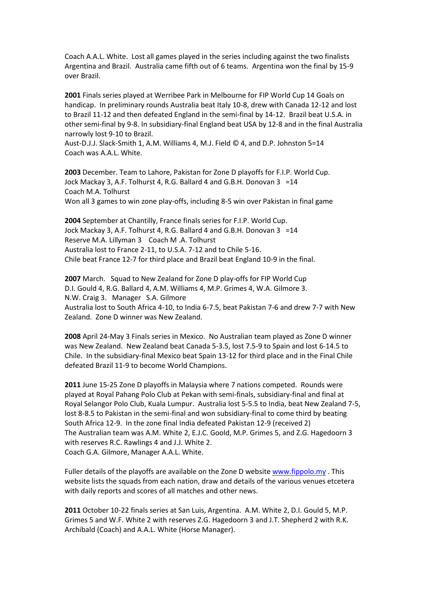Coach A.A.L. White. Lost all games played in the series including against the two finalists Argentina and Brazil. Australia came fifth out of 6 teams. Argentina won the final by 15-9 over Brazil.

**2001** Finals series played at Werribee Park in Melbourne for FIP World Cup 14 Goals on handicap. In preliminary rounds Australia beat Italy 10-8, drew with Canada 12-12 and lost to Brazil 11-12 and then defeated England in the semi-final by 14-12. Brazil beat U.S.A. in other semi-final by 9-8. In subsidiary-final England beat USA by 12-8 and in the final Australia narrowly lost 9-10 to Brazil.

Aust-D.J.J. Slack-Smith 1, A.M. Williams 4, M.J. Field © 4, and D.P. Johnston 5=14 Coach was A.A.L. White.

**2003** December. Team to Lahore, Pakistan for Zone D playoffs for F.I.P. World Cup. Jock Mackay 3, A.F. Tolhurst 4, R.G. Ballard 4 and G.B.H. Donovan 3 =14 Coach M.A. Tolhurst Won all 3 games to win zone play-offs, including 8-5 win over Pakistan in final game

**2004** September at Chantilly, France finals series for F.I.P. World Cup. Jock Mackay 3, A.F. Tolhurst 4, R.G. Ballard 4 and G.B.H. Donovan 3 =14 Reserve M.A. Lillyman 3 Coach M .A. Tolhurst Australia lost to France 2-11, to U.S.A. 7-12 and to Chile 5-16. Chile beat France 12-7 for third place and Brazil beat England 10-9 in the final.

**2007** March. Squad to New Zealand for Zone D play-offs for FIP World Cup D.I. Gould 4, R.G. Ballard 4, A.M. Williams 4, M.P. Grimes 4, W.A. Gilmore 3. N.W. Craig 3. Manager S.A. Gilmore Australia lost to South Africa 4-10, to India 6-7.5, beat Pakistan 7-6 and drew 7-7 with New Zealand. Zone D winner was New Zealand.

**2008** April 24-May 3 Finals series in Mexico. No Australian team played as Zone D winner was New Zealand. New Zealand beat Canada 5-3.5, lost 7.5-9 to Spain and lost 6-14.5 to Chile. In the subsidiary-final Mexico beat Spain 13-12 for third place and in the Final Chile defeated Brazil 11-9 to become World Champions.

**2011** June 15-25 Zone D playoffs in Malaysia where 7 nations competed. Rounds were played at Royal Pahang Polo Club at Pekan with semi-finals, subsidiary-final and final at Royal Selangor Polo Club, Kuala Lumpur. Australia lost 5-5.5 to India, beat New Zealand 7-5, lost 8-8.5 to Pakistan in the semi-final and won subsidiary-final to come third by beating South Africa 12-9. In the zone final India defeated Pakistan 12-9 (received 2) The Australian team was A.M. White 2, E.J.C. Goold, M.P. Grimes 5, and Z.G. Hagedoorn 3 with reserves R.C. Rawlings 4 and J.J. White 2. Coach G.A. Gilmore, Manager A.A.L. White.

Fuller details of the playoffs are available on the Zone D website [www.fippolo.my](http://www.fippolo.my/) . This website lists the squads from each nation, draw and details of the various venues etcetera with daily reports and scores of all matches and other news.

**2011** October 10-22 finals series at San Luis, Argentina. A.M. White 2, D.I. Gould 5, M.P. Grimes 5 and W.F. White 2 with reserves Z.G. Hagedoorn 3 and J.T. Shepherd 2 with R.K. Archibald (Coach) and A.A.L. White (Horse Manager).